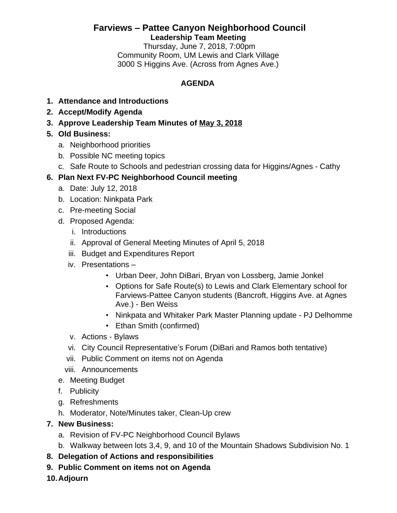# **Farviews – Pattee Canyon Neighborhood Council Leadership Team Meeting**

Thursday, June 7, 2018, 7:00pm Community Room, UM Lewis and Clark Village 3000 S Higgins Ave. (Across from Agnes Ave.)

# **AGENDA**

- **1. Attendance and Introductions**
- **2. Accept/Modify Agenda**
- **3. Approve Leadership Team Minutes of [May 3,](http://www.ci.missoula.mt.us/ArchiveCenter/ViewFile/Item/12750) [2018](http://www.ci.missoula.mt.us/ArchiveCenter/ViewFile/Item/12750)**
- **5. Old Business:**
	- a. Neighborhood priorities
	- b. Possible NC meeting topics
	- c. Safe Route to Schools and pedestrian crossing data for Higgins/Agnes Cathy

# **6. Plan Next FV-PC Neighborhood Council meeting**

- a. Date: July 12, 2018
- b. Location: Ninkpata Park
- c. Pre-meeting Social
- d. Proposed Agenda:
	- i. Introductions
	- ii. Approval of General Meeting Minutes of April 5, 2018
	- iii. Budget and Expenditures Report
	- iv. Presentations
		- Urban Deer, John DiBari, Bryan von Lossberg, Jamie Jonkel
		- Options for Safe Route(s) to Lewis and Clark Elementary school for Farviews-Pattee Canyon students (Bancroft, Higgins Ave. at Agnes Ave.) - Ben Weiss
		- Ninkpata and Whitaker Park Master Planning update PJ Delhomme
		- Ethan Smith (confirmed)
	- v. Actions Bylaws
	- vi. City Council Representative's Forum (DiBari and Ramos both tentative)
	- vii. Public Comment on items not on Agenda
	- viii. Announcements
- e. Meeting Budget
- f. Publicity
- g. Refreshments
- h. Moderator, Note/Minutes taker, Clean-Up crew

## **7. New Business:**

- a. Revision of FV-PC Neighborhood Council Bylaws
- b. Walkway between lots 3,4, 9, and 10 of the Mountain Shadows Subdivision No. 1
- **8. Delegation of Actions and responsibilities**
- **9. Public Comment on items not on Agenda**
- **10.Adjourn**